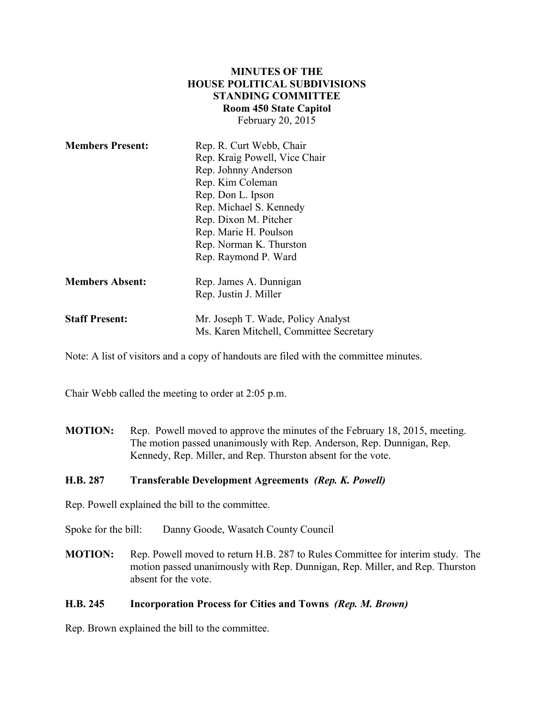| <b>MINUTES OF THE</b>         |
|-------------------------------|
| HOUSE POLITICAL SUBDIVISIONS  |
| <b>STANDING COMMITTEE</b>     |
| <b>Room 450 State Capitol</b> |
| February 20, 2015             |

| <b>Members Present:</b> | Rep. R. Curt Webb, Chair<br>Rep. Kraig Powell, Vice Chair<br>Rep. Johnny Anderson<br>Rep. Kim Coleman<br>Rep. Don L. Ipson<br>Rep. Michael S. Kennedy<br>Rep. Dixon M. Pitcher<br>Rep. Marie H. Poulson<br>Rep. Norman K. Thurston<br>Rep. Raymond P. Ward |
|-------------------------|------------------------------------------------------------------------------------------------------------------------------------------------------------------------------------------------------------------------------------------------------------|
| <b>Members Absent:</b>  | Rep. James A. Dunnigan<br>Rep. Justin J. Miller                                                                                                                                                                                                            |
| <b>Staff Present:</b>   | Mr. Joseph T. Wade, Policy Analyst<br>Ms. Karen Mitchell, Committee Secretary                                                                                                                                                                              |

Note: A list of visitors and a copy of handouts are filed with the committee minutes.

Chair Webb called the meeting to order at 2:05 p.m.

**MOTION:** Rep. Powell moved to approve the minutes of the February 18, 2015, meeting. The motion passed unanimously with Rep. Anderson, Rep. Dunnigan, Rep. Kennedy, Rep. Miller, and Rep. Thurston absent for the vote.

## **H.B. 287 Transferable Development Agreements** *(Rep. K. Powell)*

Rep. Powell explained the bill to the committee.

Spoke for the bill: Danny Goode, Wasatch County Council

**MOTION:** Rep. Powell moved to return H.B. 287 to Rules Committee for interim study. The motion passed unanimously with Rep. Dunnigan, Rep. Miller, and Rep. Thurston absent for the vote.

## **H.B. 245 Incorporation Process for Cities and Towns** *(Rep. M. Brown)*

Rep. Brown explained the bill to the committee.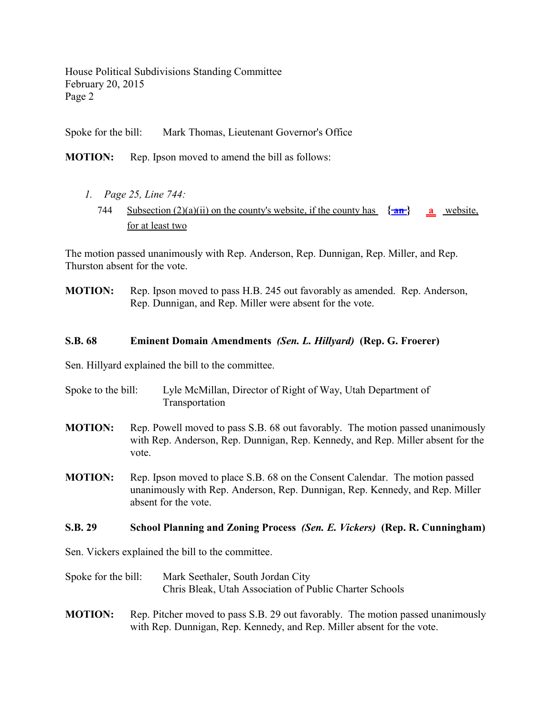House Political Subdivisions Standing Committee February 20, 2015 Page 2

Spoke for the bill: Mark Thomas, Lieutenant Governor's Office

**MOTION:** Rep. Ipson moved to amend the bill as follows:

*1. Page 25, Line 744:* 744 Subsection  $(2)(a)(ii)$  on the county's website, if the county has  $\{\text{an}\}\$  a website, for at least two

The motion passed unanimously with Rep. Anderson, Rep. Dunnigan, Rep. Miller, and Rep. Thurston absent for the vote.

**MOTION:** Rep. Ipson moved to pass H.B. 245 out favorably as amended. Rep. Anderson, Rep. Dunnigan, and Rep. Miller were absent for the vote.

## **S.B. 68 Eminent Domain Amendments** *(Sen. L. Hillyard)* **(Rep. G. Froerer)**

Sen. Hillyard explained the bill to the committee.

- Spoke to the bill: Lyle McMillan, Director of Right of Way, Utah Department of Transportation
- **MOTION:** Rep. Powell moved to pass S.B. 68 out favorably. The motion passed unanimously with Rep. Anderson, Rep. Dunnigan, Rep. Kennedy, and Rep. Miller absent for the vote.
- **MOTION:** Rep. Ipson moved to place S.B. 68 on the Consent Calendar. The motion passed unanimously with Rep. Anderson, Rep. Dunnigan, Rep. Kennedy, and Rep. Miller absent for the vote.

## **S.B. 29 School Planning and Zoning Process** *(Sen. E. Vickers)* **(Rep. R. Cunningham)**

Sen. Vickers explained the bill to the committee.

- Spoke for the bill: Mark Seethaler, South Jordan City Chris Bleak, Utah Association of Public Charter Schools
- **MOTION:** Rep. Pitcher moved to pass S.B. 29 out favorably. The motion passed unanimously with Rep. Dunnigan, Rep. Kennedy, and Rep. Miller absent for the vote.